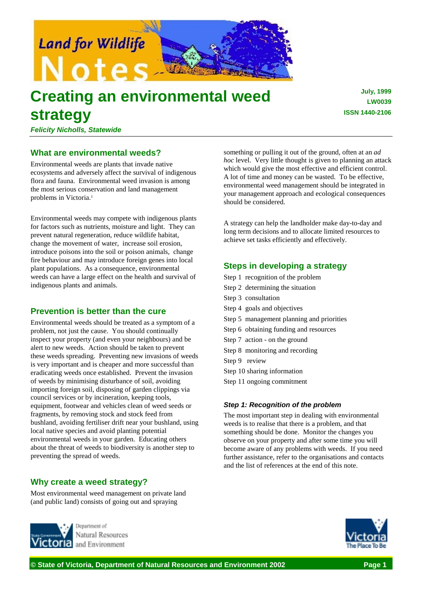

# **Creating an environmental weed strategy**

**July, 1999 LW0039 ISSN 1440-2106**

*Felicity Nicholls, Statewide*

# **What are environmental weeds?**

Environmental weeds are plants that invade native ecosystems and adversely affect the survival of indigenous flora and fauna. Environmental weed invasion is among the most serious conservation and land management problems in Victoria.<sup>1</sup>

Environmental weeds may compete with indigenous plants for factors such as nutrients, moisture and light. They can prevent natural regeneration, reduce wildlife habitat, change the movement of water, increase soil erosion, introduce poisons into the soil or poison animals, change fire behaviour and may introduce foreign genes into local plant populations. As a consequence, environmental weeds can have a large effect on the health and survival of indigenous plants and animals.

# **Prevention is better than the cure**

Environmental weeds should be treated as a symptom of a problem, not just the cause. You should continually inspect your property (and even your neighbours) and be alert to new weeds. Action should be taken to prevent these weeds spreading. Preventing new invasions of weeds is very important and is cheaper and more successful than eradicating weeds once established. Prevent the invasion of weeds by minimising disturbance of soil, avoiding importing foreign soil, disposing of garden clippings via council services or by incineration, keeping tools, equipment, footwear and vehicles clean of weed seeds or fragments, by removing stock and stock feed from bushland, avoiding fertiliser drift near your bushland, using local native species and avoid planting potential environmental weeds in your garden. Educating others about the threat of weeds to biodiversity is another step to preventing the spread of weeds.

# **Why create a weed strategy?**

Most environmental weed management on private land (and public land) consists of going out and spraying



Natural Resources and Environment

something or pulling it out of the ground, often at an *ad hoc* level. Very little thought is given to planning an attack which would give the most effective and efficient control. A lot of time and money can be wasted. To be effective, environmental weed management should be integrated in your management approach and ecological consequences should be considered.

A strategy can help the landholder make day-to-day and long term decisions and to allocate limited resources to achieve set tasks efficiently and effectively.

# **Steps in developing a strategy**

- Step 1 recognition of the problem
- Step 2 determining the situation
- Step 3 consultation
- Step 4 goals and objectives
- Step 5 management planning and priorities
- Step 6 obtaining funding and resources
- Step 7 action on the ground
- Step 8 monitoring and recording
- Step 9 review
- Step 10 sharing information
- Step 11 ongoing commitment

## *Step 1: Recognition of the problem*

The most important step in dealing with environmental weeds is to realise that there is a problem, and that something should be done. Monitor the changes you observe on your property and after some time you will become aware of any problems with weeds. If you need further assistance, refer to the organisations and contacts and the list of references at the end of this note.

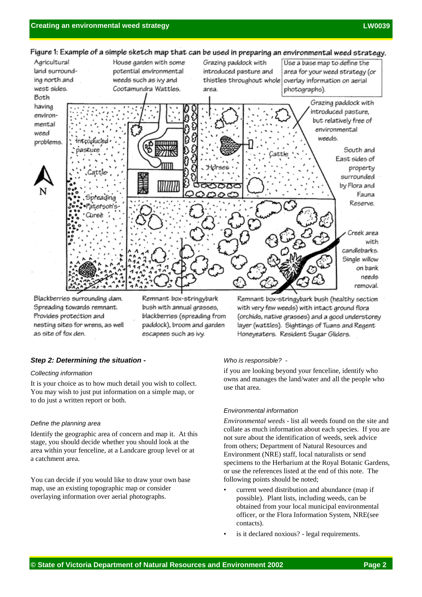

Blackberries surrounding dam. Spreading towards remnant. Provides protection and nesting sites for wrens, as well as site of fox den.

Remnant box-stringybark bush with annual grasses, blackberries (spreading from paddock), broom and garden escapees such as ivy.

Remnant box-stringybark bush (healthy section with very few weeds) with intact ground flora (orchids, native grasses) and a good understorey layer (wattles). Sightings of Tuans and Regent Honeyeaters. Resident Sugar Gliders.

## *Step 2: Determining the situation -*

## *Collecting information*

It is your choice as to how much detail you wish to collect. You may wish to just put information on a simple map, or to do just a written report or both.

## *Define the planning area*

Identify the geographic area of concern and map it. At this stage, you should decide whether you should look at the area within your fenceline, at a Landcare group level or at a catchment area.

You can decide if you would like to draw your own base map, use an existing topographic map or consider overlaying information over aerial photographs.

## *Who is responsible? -*

if you are looking beyond your fenceline, identify who owns and manages the land/water and all the people who use that area.

## *Environmental information*

*Environmental weeds* - list all weeds found on the site and collate as much information about each species. If you are not sure about the identification of weeds, seek advice from others; Department of Natural Resources and Environment (NRE) staff, local naturalists or send specimens to the Herbarium at the Royal Botanic Gardens, or use the references listed at the end of this note. The following points should be noted;

- current weed distribution and abundance (map if possible). Plant lists, including weeds, can be obtained from your local municipal environmental officer, or the Flora Information System, NRE(see contacts).
- is it declared noxious? legal requirements.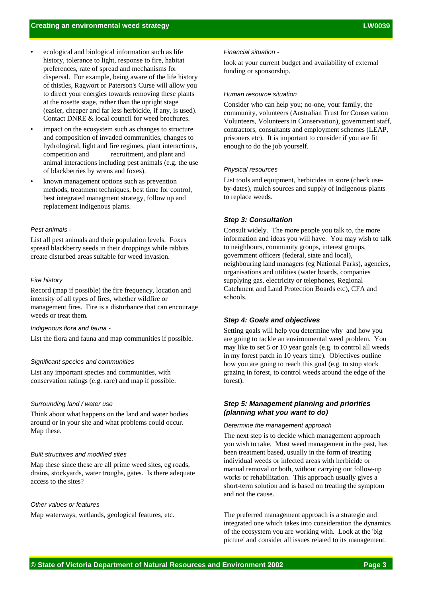- ecological and biological information such as life history, tolerance to light, response to fire, habitat preferences, rate of spread and mechanisms for dispersal. For example, being aware of the life history of thistles, Ragwort or Paterson's Curse will allow you to direct your energies towards removing these plants at the rosette stage, rather than the upright stage (easier, cheaper and far less herbicide, if any, is used). Contact DNRE & local council for weed brochures.
- impact on the ecosystem such as changes to structure and composition of invaded communities, changes to hydrological, light and fire regimes, plant interactions, competition and recruitment, and plant and animal interactions including pest animals (e.g. the use of blackberries by wrens and foxes).
- known management options such as prevention methods, treatment techniques, best time for control, best integrated managment strategy, follow up and replacement indigenous plants.

## *Pest animals -*

List all pest animals and their population levels. Foxes spread blackberry seeds in their droppings while rabbits create disturbed areas suitable for weed invasion.

#### *Fire history*

Record (map if possible) the fire frequency, location and intensity of all types of fires, whether wildfire or management fires. Fire is a disturbance that can encourage weeds or treat them.

#### *Indigenous flora and fauna -*

List the flora and fauna and map communities if possible.

### *Significant species and communities*

List any important species and communities, with conservation ratings (e.g. rare) and map if possible.

#### *Surrounding land / water use*

Think about what happens on the land and water bodies around or in your site and what problems could occur. Map these.

## *Built structures and modified sites*

Map these since these are all prime weed sites, eg roads, drains, stockyards, water troughs, gates. Is there adequate access to the sites?

#### *Other values or features*

Map waterways, wetlands, geological features, etc.

#### *Financial situation -*

look at your current budget and availability of external funding or sponsorship.

#### *Human resource situation*

Consider who can help you; no-one, your family, the community, volunteers (Australian Trust for Conservation Volunteers, Volunteers in Conservation), government staff, contractors, consultants and employment schemes (LEAP, prisoners etc). It is important to consider if you are fit enough to do the job yourself.

#### *Physical resources*

List tools and equipment, herbicides in store (check useby-dates), mulch sources and supply of indigenous plants to replace weeds.

## *Step 3: Consultation*

Consult widely. The more people you talk to, the more information and ideas you will have. You may wish to talk to neighbours, community groups, interest groups, government officers (federal, state and local), neighbouring land managers (eg National Parks), agencies, organisations and utilities (water boards, companies supplying gas, electricity or telephones, Regional Catchment and Land Protection Boards etc), CFA and schools.

## *Step 4: Goals and objectives*

Setting goals will help you determine why and how you are going to tackle an environmental weed problem. You may like to set 5 or 10 year goals (e.g. to control all weeds in my forest patch in 10 years time). Objectives outline how you are going to reach this goal (e.g. to stop stock grazing in forest, to control weeds around the edge of the forest).

## *Step 5: Management planning and priorities (planning what you want to do)*

#### *Determine the management approach*

The next step is to decide which management approach you wish to take. Most weed management in the past, has been treatment based, usually in the form of treating individual weeds or infected areas with herbicide or manual removal or both, without carrying out follow-up works or rehabilitation. This approach usually gives a short-term solution and is based on treating the symptom and not the cause.

The preferred management approach is a strategic and integrated one which takes into consideration the dynamics of the ecosystem you are working with. Look at the 'big picture' and consider all issues related to its management.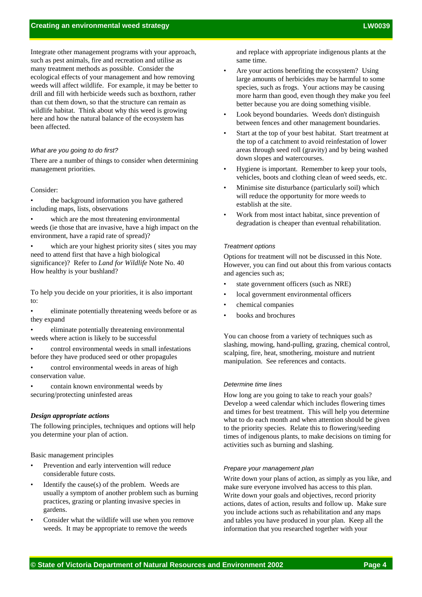Integrate other management programs with your approach, such as pest animals, fire and recreation and utilise as many treatment methods as possible. Consider the ecological effects of your management and how removing weeds will affect wildlife. For example, it may be better to drill and fill with herbicide weeds such as boxthorn, rather than cut them down, so that the structure can remain as wildlife habitat. Think about why this weed is growing here and how the natural balance of the ecosystem has been affected.

#### *What are you going to do first?*

There are a number of things to consider when determining management priorities.

## Consider:

the background information you have gathered including maps, lists, observations

which are the most threatening environmental weeds (ie those that are invasive, have a high impact on the environment, have a rapid rate of spread)?

which are your highest priority sites (sites you may need to attend first that have a high biological significance)? Refer to *Land for Wildlife* Note No. 40 How healthy is your bushland?

To help you decide on your priorities, it is also important to:

eliminate potentially threatening weeds before or as they expand

eliminate potentially threatening environmental weeds where action is likely to be successful

• control environmental weeds in small infestations before they have produced seed or other propagules

control environmental weeds in areas of high conservation value.

• contain known environmental weeds by securing/protecting uninfested areas

#### *Design appropriate actions*

The following principles, techniques and options will help you determine your plan of action.

Basic management principles

- Prevention and early intervention will reduce considerable future costs.
- Identify the cause(s) of the problem. Weeds are usually a symptom of another problem such as burning practices, grazing or planting invasive species in gardens.
- Consider what the wildlife will use when you remove weeds. It may be appropriate to remove the weeds

and replace with appropriate indigenous plants at the same time.

- Are your actions benefiting the ecosystem? Using large amounts of herbicides may be harmful to some species, such as frogs. Your actions may be causing more harm than good, even though they make you feel better because you are doing something visible.
- Look beyond boundaries. Weeds don't distinguish between fences and other management boundaries.
- Start at the top of your best habitat. Start treatment at the top of a catchment to avoid reinfestation of lower areas through seed roll (gravity) and by being washed down slopes and watercourses.
- Hygiene is important. Remember to keep your tools, vehicles, boots and clothing clean of weed seeds, etc.
- Minimise site disturbance (particularly soil) which will reduce the opportunity for more weeds to establish at the site.
- Work from most intact habitat, since prevention of degradation is cheaper than eventual rehabilitation.

#### *Treatment options*

Options for treatment will not be discussed in this Note. However, you can find out about this from various contacts and agencies such as;

- state government officers (such as NRE)
- local government environmental officers
- chemical companies
- books and brochures

You can choose from a variety of techniques such as slashing, mowing, hand-pulling, grazing, chemical control, scalping, fire, heat, smothering, moisture and nutrient manipulation. See references and contacts.

## *Determine time lines*

How long are you going to take to reach your goals? Develop a weed calendar which includes flowering times and times for best treatment. This will help you determine what to do each month and when attention should be given to the priority species. Relate this to flowering/seeding times of indigenous plants, to make decisions on timing for activities such as burning and slashing.

#### *Prepare your management plan*

Write down your plans of action, as simply as you like, and make sure everyone involved has access to this plan. Write down your goals and objectives, record priority actions, dates of action, results and follow up. Make sure you include actions such as rehabilitation and any maps and tables you have produced in your plan. Keep all the information that you researched together with your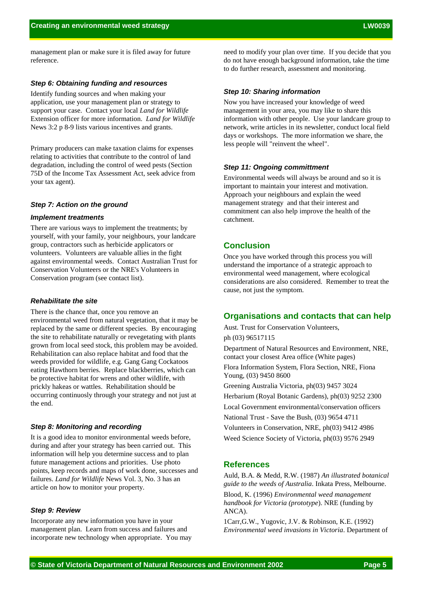management plan or make sure it is filed away for future reference.

## *Step 6: Obtaining funding and resources*

Identify funding sources and when making your application, use your management plan or strategy to support your case. Contact your local *Land for Wildlife* Extension officer for more information. *Land for Wildlife* News 3:2 p 8-9 lists various incentives and grants.

Primary producers can make taxation claims for expenses relating to activities that contribute to the control of land degradation, including the control of weed pests (Section 75D of the Income Tax Assessment Act, seek advice from your tax agent).

## *Step 7: Action on the ground*

#### *Implement treatments*

There are various ways to implement the treatments; by yourself, with your family, your neighbours, your landcare group, contractors such as herbicide applicators or volunteers. Volunteers are valuable allies in the fight against environmental weeds. Contact Australian Trust for Conservation Volunteers or the NRE's Volunteers in Conservation program (see contact list).

## *Rehabilitate the site*

There is the chance that, once you remove an environmental weed from natural vegetation, that it may be replaced by the same or different species. By encouraging the site to rehabilitate naturally or revegetating with plants grown from local seed stock, this problem may be avoided. Rehabilitation can also replace habitat and food that the weeds provided for wildlife, e.g. Gang Gang Cockatoos eating Hawthorn berries. Replace blackberries, which can be protective habitat for wrens and other wildlife, with prickly hakeas or wattles. Rehabilitation should be occurring continuosly through your strategy and not just at the end.

## *Step 8: Monitoring and recording*

It is a good idea to monitor environmental weeds before, during and after your strategy has been carried out. This information will help you determine success and to plan future management actions and priorities. Use photo points, keep records and maps of work done, successes and failures. *Land for Wildlife* News Vol. 3, No. 3 has an article on how to monitor your property.

## *Step 9: Review*

Incorporate any new information you have in your management plan. Learn from success and failures and incorporate new technology when appropriate. You may need to modify your plan over time. If you decide that you do not have enough background information, take the time to do further research, assessment and monitoring.

## *Step 10: Sharing information*

Now you have increased your knowledge of weed management in your area, you may like to share this information with other people. Use your landcare group to network, write articles in its newsletter, conduct local field days or workshops. The more information we share, the less people will "reinvent the wheel".

## *Step 11: Ongoing committment*

Environmental weeds will always be around and so it is important to maintain your interest and motivation. Approach your neighbours and explain the weed management strategy and that their interest and commitment can also help improve the health of the catchment.

## **Conclusion**

Once you have worked through this process you will understand the importance of a strategic approach to environmental weed management, where ecological considerations are also considered. Remember to treat the cause, not just the symptom.

## **Organisations and contacts that can help**

Aust. Trust for Conservation Volunteers, ph (03) 96517115

Department of Natural Resources and Environment, NRE, contact your closest Area office (White pages)

Flora Information System, Flora Section, NRE, Fiona Young, (03) 9450 8600

Greening Australia Victoria, ph(03) 9457 3024

Herbarium (Royal Botanic Gardens), ph(03) 9252 2300

Local Government environmental/conservation officers

National Trust - Save the Bush, (03) 9654 4711

Volunteers in Conservation, NRE, ph(03) 9412 4986

Weed Science Society of Victoria, ph(03) 9576 2949

## **References**

Auld, B.A. & Medd, R.W. (1987) *An illustrated botanical guide to the weeds of Australia*. Inkata Press, Melbourne. Blood, K. (1996) *Environmental weed management handbook for Victoria (prototype*). NRE (funding by ANCA).

1Carr,G.W., Yugovic, J.V. & Robinson, K.E. (1992) *Environmental weed invasions in Victoria*. Department of